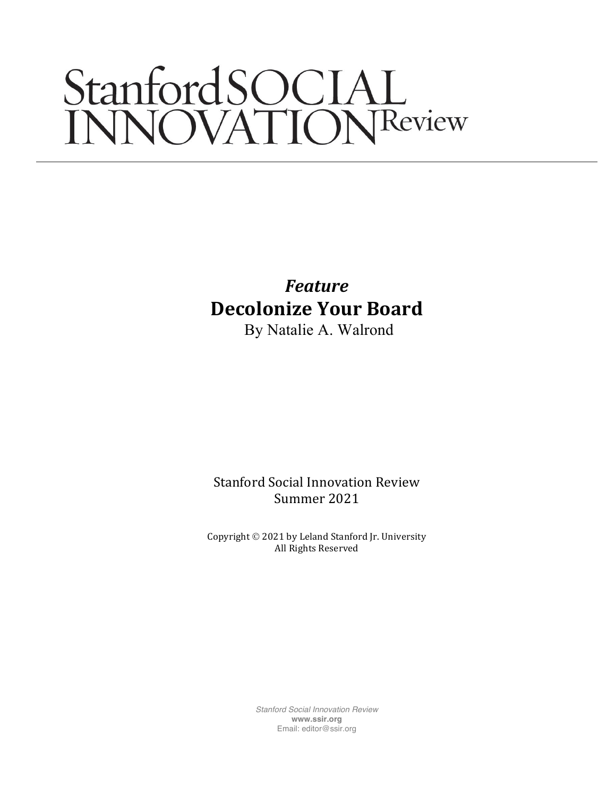# StanfordSOCIAL<br>INNOVATIONReview

# *Feature* **Decolonize Your Board**

By Natalie A. Walrond

Stanford Social Innovation Review Summer 2021

Copyright  $\odot$  2021 by Leland Stanford Jr. University All Rights Reserved

> *Stanford Social Innovation Review* **www.ssir.org** Email: editor@ssir.org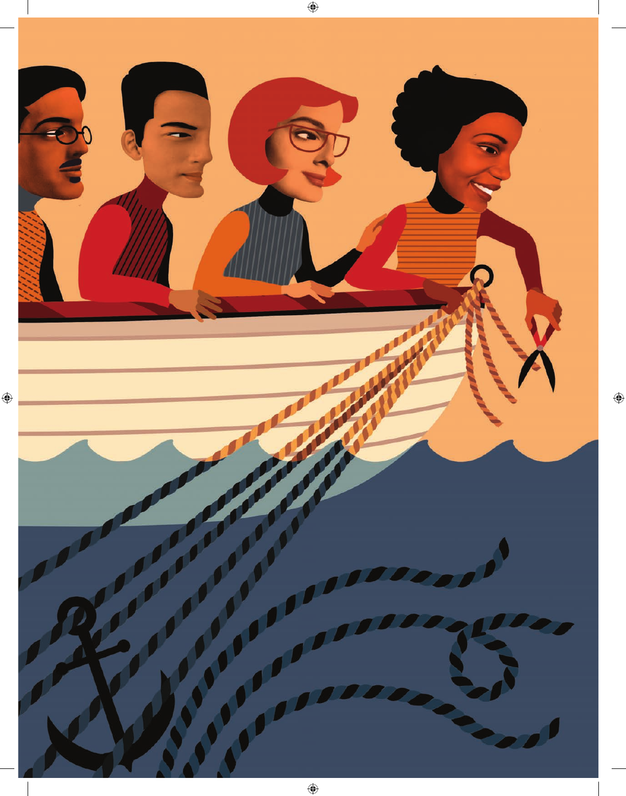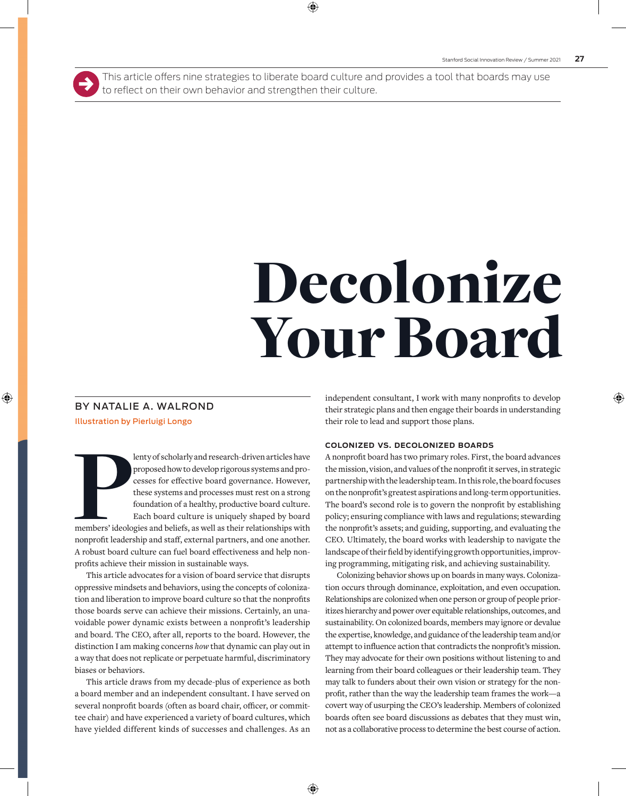

This article offers nine strategies to liberate board culture and provides a tool that boards may use to reflect on their own behavior and strengthen their culture.

# Decolonize Your Board

#### BY NATALIE A. WALROND

Illustration by Pierluigi Longo

lenty of scholarly and research-driven articles have<br>proposed how to develop rigorous systems and processes for effective board governance. However,<br>these systems and processes must rest on a strong<br>foundation of a healthy proposed how to develop rigorous systems and processes for effective board governance. However, these systems and processes must rest on a strong foundation of a healthy, productive board culture. Each board culture is uniquely shaped by board members' ideologies and beliefs, as well as their relationships with nonprofit leadership and staff, external partners, and one another. A robust board culture can fuel board effectiveness and help nonprofits achieve their mission in sustainable ways.

This article advocates for a vision of board service that disrupts oppressive mindsets and behaviors, using the concepts of colonization and liberation to improve board culture so that the nonprofits those boards serve can achieve their missions. Certainly, an unavoidable power dynamic exists between a nonprofit's leadership and board. The CEO, after all, reports to the board. However, the distinction I am making concerns *how* that dynamic can play out in a way that does not replicate or perpetuate harmful, discriminatory biases or behaviors.

This article draws from my decade-plus of experience as both a board member and an independent consultant. I have served on several nonprofit boards (often as board chair, officer, or committee chair) and have experienced a variety of board cultures, which have yielded different kinds of successes and challenges. As an

independent consultant, I work with many nonprofits to develop their strategic plans and then engage their boards in understanding their role to lead and support those plans.

#### **COLONIZED VS. DECOLONIZED BOARDS**

A nonprofit board has two primary roles. First, the board advances the mission, vision, and values of the nonprofit it serves, in strategic partnership with the leadership team. In this role, the board focuses on the nonprofit's greatest aspirations and long-term opportunities. The board's second role is to govern the nonprofit by establishing policy; ensuring compliance with laws and regulations; stewarding the nonprofit's assets; and guiding, supporting, and evaluating the CEO. Ultimately, the board works with leadership to navigate the landscape of their field by identifying growth opportunities, improving programming, mitigating risk, and achieving sustainability.

Colonizing behavior shows up on boards in many ways. Colonization occurs through dominance, exploitation, and even occupation. Relationships are colonized when one person or group of people prioritizes hierarchy and power over equitable relationships, outcomes, and sustainability. On colonized boards, members may ignore or devalue the expertise, knowledge, and guidance of the leadership team and/or attempt to influence action that contradicts the nonprofit's mission. They may advocate for their own positions without listening to and learning from their board colleagues or their leadership team. They may talk to funders about their own vision or strategy for the nonprofit, rather than the way the leadership team frames the work—a covert way of usurping the CEO's leadership. Members of colonized boards often see board discussions as debates that they must win, not as a collaborative process to determine the best course of action.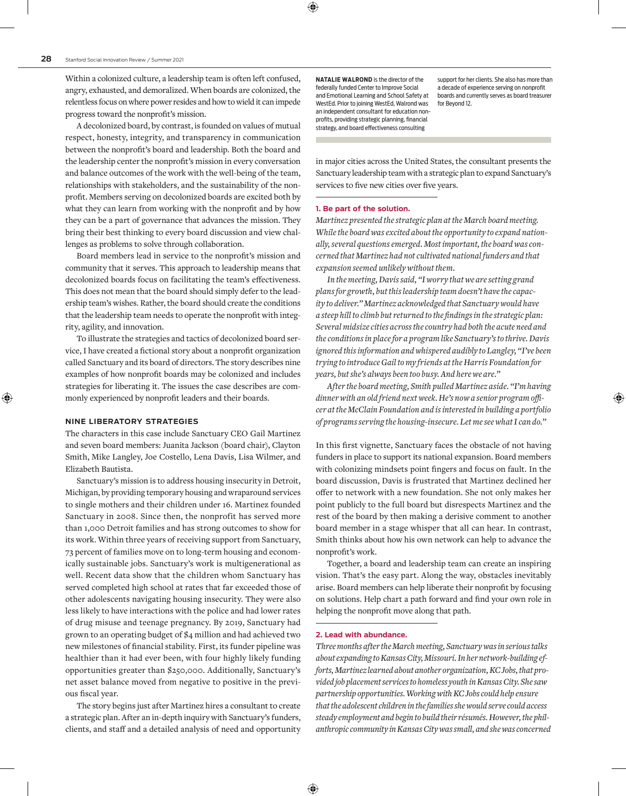Within a colonized culture, a leadership team is often left confused, angry, exhausted, and demoralized. When boards are colonized, the relentless focus on where power resides and how to wield it can impede progress toward the nonprofit's mission.

A decolonized board, by contrast, is founded on values of mutual respect, honesty, integrity, and transparency in communication between the nonprofit's board and leadership. Both the board and the leadership center the nonprofit's mission in every conversation and balance outcomes of the work with the well-being of the team, relationships with stakeholders, and the sustainability of the nonprofit. Members serving on decolonized boards are excited both by what they can learn from working with the nonprofit and by how they can be a part of governance that advances the mission. They bring their best thinking to every board discussion and view challenges as problems to solve through collaboration.

Board members lead in service to the nonprofit's mission and community that it serves. This approach to leadership means that decolonized boards focus on facilitating the team's effectiveness. This does not mean that the board should simply defer to the leadership team's wishes. Rather, the board should create the conditions that the leadership team needs to operate the nonprofit with integrity, agility, and innovation.

To illustrate the strategies and tactics of decolonized board service, I have created a fictional story about a nonprofit organization called Sanctuary and its board of directors. The story describes nine examples of how nonprofit boards may be colonized and includes strategies for liberating it. The issues the case describes are commonly experienced by nonprofit leaders and their boards.

#### **NINE LIBERATORY STRATEGIES**

The characters in this case include Sanctuary CEO Gail Martinez and seven board members: Juanita Jackson (board chair), Clayton Smith, Mike Langley, Joe Costello, Lena Davis, Lisa Wilmer, and Elizabeth Bautista.

Sanctuary's mission is to address housing insecurity in Detroit, Michigan, by providing temporary housing and wraparound services to single mothers and their children under 16. Martinez founded Sanctuary in 2008. Since then, the nonprofit has served more than 1,000 Detroit families and has strong outcomes to show for its work. Within three years of receiving support from Sanctuary, 73 percent of families move on to long-term housing and economically sustainable jobs. Sanctuary's work is multigenerational as well. Recent data show that the children whom Sanctuary has served completed high school at rates that far exceeded those of other adolescents navigating housing insecurity. They were also less likely to have interactions with the police and had lower rates of drug misuse and teenage pregnancy. By 2019, Sanctuary had grown to an operating budget of \$4 million and had achieved two new milestones of financial stability. First, its funder pipeline was healthier than it had ever been, with four highly likely funding opportunities greater than \$250,000. Additionally, Sanctuary's net asset balance moved from negative to positive in the previous fiscal year.

The story begins just after Martinez hires a consultant to create a strategic plan. After an in-depth inquiry with Sanctuary's funders, clients, and staff and a detailed analysis of need and opportunity

**NATALIE WALROND** is the director of the federally funded Center to Improve Social and Emotional Learning and School Safety at WestEd. Prior to joining WestEd, Walrond was an independent consultant for education nonprofits, providing strategic planning, financial strategy, and board effectiveness consulting

support for her clients. She also has more than a decade of experience serving on nonprofit boards and currently serves as board treasurer for Beyond 12.

in major cities across the United States, the consultant presents the Sanctuary leadership team with a strategic plan to expand Sanctuary's services to five new cities over five years.

#### **1. Be part of the solution.**

*Martinez presented the strategic plan at the March board meeting. While the board was excited about the opportunity to expand nationally, several questions emerged. Most important, the board was concerned that Martinez had not cultivated national funders and that expansion seemed unlikely without them.*

*In the meeting, Davis said, "I worry that we are setting grand plans for growth, but this leadership team doesn't have the capacity to deliver." Martinez acknowledged that Sanctuary would have a steep hill to climb but returned to the findings in the strategic plan: Several midsize cities across the country had both the acute need and the conditions in place for a program like Sanctuary's to thrive. Davis ignored this information and whispered audibly to Langley, "I've been trying to introduce Gail to my friends at the Harris Foundation for years, but she's always been too busy. And here we are."* 

*After the board meeting, Smith pulled Martinez aside. "I'm having dinner with an old friend next week. He's now a senior program officer at the McClain Foundation and is interested in building a portfolio of programs serving the housing-insecure. Let me see what I can do."* 

In this first vignette, Sanctuary faces the obstacle of not having funders in place to support its national expansion. Board members with colonizing mindsets point fingers and focus on fault. In the board discussion, Davis is frustrated that Martinez declined her offer to network with a new foundation. She not only makes her point publicly to the full board but disrespects Martinez and the rest of the board by then making a derisive comment to another board member in a stage whisper that all can hear. In contrast, Smith thinks about how his own network can help to advance the nonprofit's work.

Together, a board and leadership team can create an inspiring vision. That's the easy part. Along the way, obstacles inevitably arise. Board members can help liberate their nonprofit by focusing on solutions. Help chart a path forward and find your own role in helping the nonprofit move along that path.

#### **2. Lead with abundance.**

*Three months after the March meeting, Sanctuary was in serious talks about expanding to Kansas City, Missouri. In her network-building efforts, Martinez learned about another organization, KC Jobs, that provided job placement services to homeless youth in Kansas City. She saw partnership opportunities. Working with KC Jobs could help ensure that the adolescent children in the families she would serve could access steady employment and begin to build their résumés. However, the philanthropic community in Kansas City was small, and she was concerned*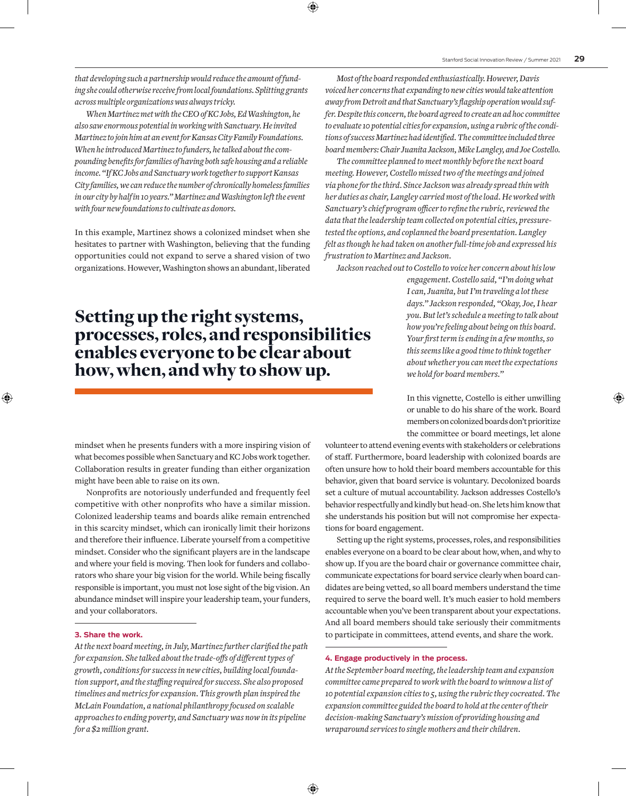*that developing such a partnership would reduce the amount of funding she could otherwise receive from local foundations. Splitting grants across multiple organizations was always tricky.*

*When Martinez met with the CEO of KC Jobs, Ed Washington, he also saw enormous potential in working with Sanctuary. He invited Martinez to join him at an event for Kansas City Family Foundations. When he introduced Martinez to funders, he talked about the compounding benefits for families of having both safe housing and a reliable income. "If KC Jobs and Sanctuary work together to support Kansas City families, we can reduce the number of chronically homeless families in our city by half in 10 years." Martinez and Washington left the event with four new foundations to cultivate as donors.*

In this example, Martinez shows a colonized mindset when she hesitates to partner with Washington, believing that the funding opportunities could not expand to serve a shared vision of two organizations. However, Washington shows an abundant, liberated

*Most of the board responded enthusiastically. However, Davis voiced her concerns that expanding to new cities would take attention away from Detroit and that Sanctuary's flagship operation would suffer. Despite this concern, the board agreed to create an ad hoc committee to evaluate 10 potential cities for expansion, using a rubric of the conditions of success Martinez had identified. The committee included three board members: Chair Juanita Jackson, Mike Langley, and Joe Costello.*

*The committee planned to meet monthly before the next board meeting. However, Costello missed two of the meetings and joined via phone for the third. Since Jackson was already spread thin with her duties as chair, Langley carried most of the load. He worked with Sanctuary's chief program officer to refine the rubric, reviewed the data that the leadership team collected on potential cities, pressuretested the options, and coplanned the board presentation. Langley felt as though he had taken on another full-time job and expressed his frustration to Martinez and Jackson.* 

*Jackson reached out to Costello to voice her concern about his low* 

# Setting up the right systems, processes, roles, and responsibilities enables everyone to be clear about how, when, and why to show up.

mindset when he presents funders with a more inspiring vision of what becomes possible when Sanctuary and KC Jobs work together. Collaboration results in greater funding than either organization might have been able to raise on its own.

Nonprofits are notoriously underfunded and frequently feel competitive with other nonprofits who have a similar mission. Colonized leadership teams and boards alike remain entrenched in this scarcity mindset, which can ironically limit their horizons and therefore their influence. Liberate yourself from a competitive mindset. Consider who the significant players are in the landscape and where your field is moving. Then look for funders and collaborators who share your big vision for the world. While being fiscally responsible is important, you must not lose sight of the big vision. An abundance mindset will inspire your leadership team, your funders, and your collaborators.

#### **3. Share the work.**

*At the next board meeting, in July, Martinez further clarified the path for expansion. She talked about the trade-offs of different types of growth, conditions for success in new cities, building local foundation support, and the staffing required for success. She also proposed timelines and metrics for expansion. This growth plan inspired the McLain Foundation, a national philanthropy focused on scalable approaches to ending poverty, and Sanctuary was now in its pipeline for a \$2 million grant.*

*engagement. Costello said, "I'm doing what I can, Juanita, but I'm traveling a lot these days." Jackson responded, "Okay, Joe, I hear you. But let's schedule a meeting to talk about how you're feeling about being on this board. Your first term is ending in a few months, so this seems like a good time to think together about whether you can meet the expectations we hold for board members."*

In this vignette, Costello is either unwilling or unable to do his share of the work. Board members on colonized boards don't prioritize the committee or board meetings, let alone

volunteer to attend evening events with stakeholders or celebrations of staff. Furthermore, board leadership with colonized boards are often unsure how to hold their board members accountable for this behavior, given that board service is voluntary. Decolonized boards set a culture of mutual accountability. Jackson addresses Costello's behavior respectfully and kindly but head-on. She lets him know that she understands his position but will not compromise her expectations for board engagement.

Setting up the right systems, processes, roles, and responsibilities enables everyone on a board to be clear about how, when, and why to show up. If you are the board chair or governance committee chair, communicate expectations for board service clearly when board candidates are being vetted, so all board members understand the time required to serve the board well. It's much easier to hold members accountable when you've been transparent about your expectations. And all board members should take seriously their commitments to participate in committees, attend events, and share the work.

#### **4. Engage productively in the process.**

*At the September board meeting, the leadership team and expansion committee came prepared to work with the board to winnow a list of 10 potential expansion cities to 5, using the rubric they cocreated. The expansion committee guided the board to hold at the center of their decision-making Sanctuary's mission of providing housing and wraparound services to single mothers and their children.*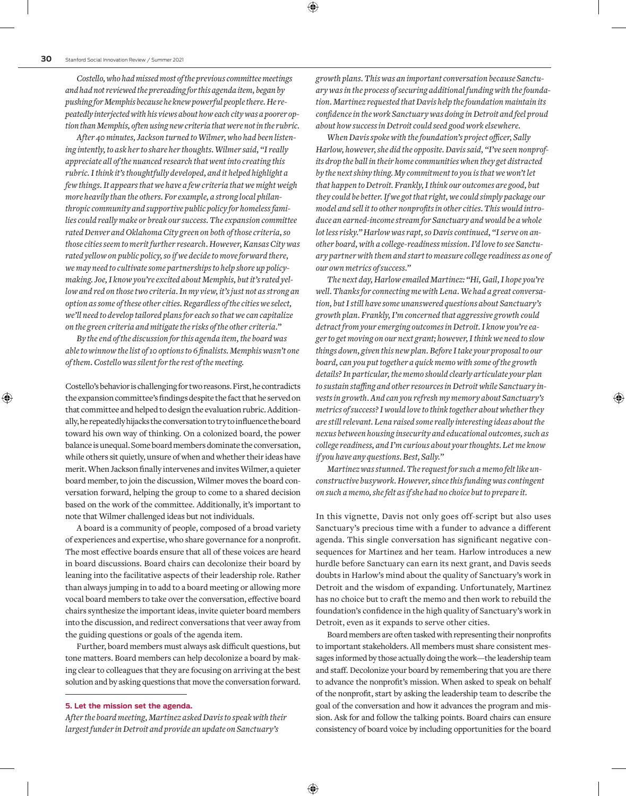*Costello, who had missed most of the previous committee meetings and had not reviewed the prereading for this agenda item, began by pushing for Memphis because he knew powerful people there. He repeatedly interjected with his views about how each city was a poorer option than Memphis, often using new criteria that were not in the rubric.*

*After 40 minutes, Jackson turned to Wilmer, who had been listening intently, to ask her to share her thoughts. Wilmer said, "I really appreciate all of the nuanced research that went into creating this rubric. I think it's thoughtfully developed, and it helped highlight a few things. It appears that we have a few criteria that we might weigh more heavily than the others. For example, a strong local philanthropic community and supportive public policy for homeless families could really make or break our success. The expansion committee rated Denver and Oklahoma City green on both of those criteria, so those cities seem to merit further research. However, Kansas City was rated yellow on public policy, so if we decide to move forward there, we may need to cultivate some partnerships to help shore up policymaking. Joe, I know you're excited about Memphis, but it's rated yellow and red on those two criteria. In my view, it's just not as strong an option as some of these other cities. Regardless of the cities we select, we'll need to develop tailored plans for each so that we can capitalize on the green criteria and mitigate the risks of the other criteria."* 

*By the end of the discussion for this agenda item, the board was able to winnow the list of 10 options to 6 finalists. Memphis wasn't one of them. Costello was silent for the rest of the meeting.*

Costello's behavior is challenging for two reasons. First, he contradicts the expansion committee's findings despite the fact that he served on that committee and helped to design the evaluation rubric. Additionally, he repeatedly hijacks the conversation to try to influence the board toward his own way of thinking. On a colonized board, the power balance is unequal. Some board members dominate the conversation, while others sit quietly, unsure of when and whether their ideas have merit. When Jackson finally intervenes and invites Wilmer, a quieter board member, to join the discussion, Wilmer moves the board conversation forward, helping the group to come to a shared decision based on the work of the committee. Additionally, it's important to note that Wilmer challenged ideas but not individuals.

A board is a community of people, composed of a broad variety of experiences and expertise, who share governance for a nonprofit. The most effective boards ensure that all of these voices are heard in board discussions. Board chairs can decolonize their board by leaning into the facilitative aspects of their leadership role. Rather than always jumping in to add to a board meeting or allowing more vocal board members to take over the conversation, effective board chairs synthesize the important ideas, invite quieter board members into the discussion, and redirect conversations that veer away from the guiding questions or goals of the agenda item.

Further, board members must always ask difficult questions, but tone matters. Board members can help decolonize a board by making clear to colleagues that they are focusing on arriving at the best solution and by asking questions that move the conversation forward.

*After the board meeting, Martinez asked Davis to speak with their largest funder in Detroit and provide an update on Sanctuary's* 

*growth plans. This was an important conversation because Sanctuary was in the process of securing additional funding with the foundation. Martinez requested that Davis help the foundation maintain its confidence in the work Sanctuary was doing in Detroit and feel proud about how success in Detroit could seed good work elsewhere.*

*When Davis spoke with the foundation's project officer, Sally Harlow, however, she did the opposite. Davis said, "I've seen nonprofits drop the ball in their home communities when they get distracted by the next shiny thing. My commitment to you is that we won't let that happen to Detroit. Frankly, I think our outcomes are good, but they could be better. If we got that right, we could simply package our model and sell it to other nonprofits in other cities. This would introduce an earned-income stream for Sanctuary and would be a whole lot less risky." Harlow was rapt, so Davis continued, "I serve on another board, with a college-readiness mission. I'd love to see Sanctuary partner with them and start to measure college readiness as one of our own metrics of success."* 

*The next day, Harlow emailed Martinez: "Hi, Gail, I hope you're well. Thanks for connecting me with Lena. We had a great conversation, but I still have some unanswered questions about Sanctuary's growth plan. Frankly, I'm concerned that aggressive growth could detract from your emerging outcomes in Detroit. I know you're eager to get moving on our next grant; however, I think we need to slow things down, given this new plan. Before I take your proposal to our board, can you put together a quick memo with some of the growth details? In particular, the memo should clearly articulate your plan to sustain staffing and other resources in Detroit while Sanctuary invests in growth. And can you refresh my memory about Sanctuary's metrics of success? I would love to think together about whether they are still relevant. Lena raised some really interesting ideas about the nexus between housing insecurity and educational outcomes, such as college readiness, and I'm curious about your thoughts. Let me know if you have any questions. Best, Sally."*

*Martinez was stunned. The request for such a memo felt like unconstructive busywork. However, since this funding was contingent on such a memo, she felt as if she had no choice but to prepare it.*

In this vignette, Davis not only goes off-script but also uses Sanctuary's precious time with a funder to advance a different agenda. This single conversation has significant negative consequences for Martinez and her team. Harlow introduces a new hurdle before Sanctuary can earn its next grant, and Davis seeds doubts in Harlow's mind about the quality of Sanctuary's work in Detroit and the wisdom of expanding. Unfortunately, Martinez has no choice but to craft the memo and then work to rebuild the foundation's confidence in the high quality of Sanctuary's work in Detroit, even as it expands to serve other cities.

Board members are often tasked with representing their nonprofits to important stakeholders. All members must share consistent messages informed by those actually doing the work—the leadership team and staff. Decolonize your board by remembering that you are there to advance the nonprofit's mission. When asked to speak on behalf of the nonprofit, start by asking the leadership team to describe the goal of the conversation and how it advances the program and mission. Ask for and follow the talking points. Board chairs can ensure consistency of board voice by including opportunities for the board

**<sup>5.</sup> Let the mission set the agenda.**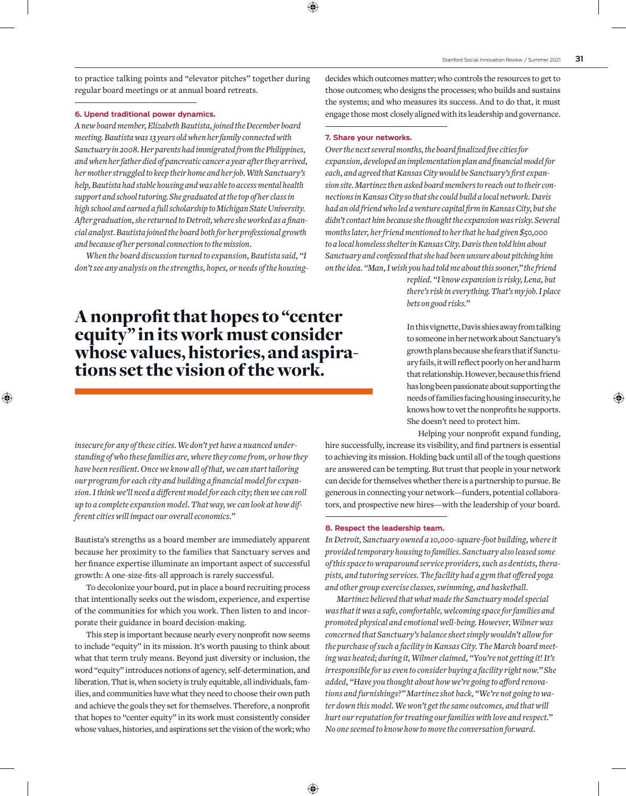to practice talking points and "elevator pitches" together during regular board meetings or at annual board retreats.

#### **6. Upend traditional power dynamics.**

*A new board member, Elizabeth Bautista, joined the December board meeting. Bautista was 13 years old when her family connected with Sanctuary in 2008. Her parents had immigrated from the Philippines, and when her father died of pancreatic cancer a year after they arrived, her mother struggled to keep their home and her job. With Sanctuary's help, Bautista had stable housing and was able to access mental health support and school tutoring. She graduated at the top of her class in high school and earned a full scholarship to Michigan State University. After graduation, she returned to Detroit, where she worked as a financial analyst. Bautista joined the board both for her professional growth and because of her personal connection to the mission.*

*When the board discussion turned to expansion, Bautista said, "I don't see any analysis on the strengths, hopes, or needs of the housing-*

decides which outcomes matter; who controls the resources to get to those outcomes; who designs the processes; who builds and sustains the systems; and who measures its success. And to do that, it must engage those most closely aligned with its leadership and governance.

#### **7. Share your networks.**

*Over the next several months, the board finalized five cities for expansion, developed an implementation plan and financial model for each, and agreed that Kansas City would be Sanctuary's first expansion site. Martinez then asked board members to reach out to their connections in Kansas City so that she could build a local network. Davis had an old friend who led a venture capital firm in Kansas City, but she didn't contact him because she thought the expansion was risky. Several months later, her friend mentioned to her that he had given \$50,000 to a local homeless shelter in Kansas City. Davis then told him about Sanctuary and confessed that she had been unsure about pitching him on the idea. "Man, I wish you had told me about this sooner," the friend* 

> *replied. "I know expansion is risky, Lena, but there's risk in everything. That's my job. I place bets on good risks."*

> In this vignette, Davis shies away from talking to someone in her network about Sanctuary's growth plans because she fears that if Sanctuary fails, it will reflect poorly on her and harm that relationship. However, because this friend has long been passionate about supporting the needs of families facing housing insecurity, he knows how to vet the nonprofits he supports. She doesn't need to protect him.

Helping your nonprofit expand funding,

hire successfully, increase its visibility, and find partners is essential to achieving its mission. Holding back until all of the tough questions are answered can be tempting. But trust that people in your network can decide for themselves whether there is a partnership to pursue. Be generous in connecting your network—funders, potential collaborators, and prospective new hires—with the leadership of your board.

#### **8. Respect the leadership team.**

*In Detroit, Sanctuary owned a 10,000-square-foot building, where it provided temporary housing to families. Sanctuary also leased some of this space to wraparound service providers, such as dentists, therapists, and tutoring services. The facility had a gym that offered yoga and other group exercise classes, swimming, and basketball.*

*Martinez believed that what made the Sanctuary model special was that it was a safe, comfortable, welcoming space for families and promoted physical and emotional well-being. However, Wilmer was concerned that Sanctuary's balance sheet simply wouldn't allow for the purchase of such a facility in Kansas City. The March board meeting was heated; during it, Wilmer claimed, "You're not getting it! It's irresponsible for us even to consider buying a facility right now." She added, "Have you thought about how we're going to afford renovations and furnishings?" Martinez shot back, "We're not going to water down this model. We won't get the same outcomes, and that will hurt our reputation for treating our families with love and respect." No one seemed to know how to move the conversation forward.*

# A nonprofit that hopes to "center equity" in its work must consider whose values, histories, and aspirations set the vision of the work.

*insecure for any of these cities. We don't yet have a nuanced understanding of who these families are, where they come from, or how they have been resilient. Once we know all of that, we can start tailoring our program for each city and building a financial model for expansion. I think we'll need a different model for each city; then we can roll up to a complete expansion model. That way, we can look at how different cities will impact our overall economics."* 

Bautista's strengths as a board member are immediately apparent because her proximity to the families that Sanctuary serves and her finance expertise illuminate an important aspect of successful growth: A one-size-fits-all approach is rarely successful.

To decolonize your board, put in place a board recruiting process that intentionally seeks out the wisdom, experience, and expertise of the communities for which you work. Then listen to and incorporate their guidance in board decision-making.

This step is important because nearly every nonprofit now seems to include "equity" in its mission. It's worth pausing to think about what that term truly means. Beyond just diversity or inclusion, the word "equity" introduces notions of agency, self-determination, and liberation. That is, when society is truly equitable, all individuals, families, and communities have what they need to choose their own path and achieve the goals they set for themselves. Therefore, a nonprofit that hopes to "center equity" in its work must consistently consider whose values, histories, and aspirations set the vision of the work; who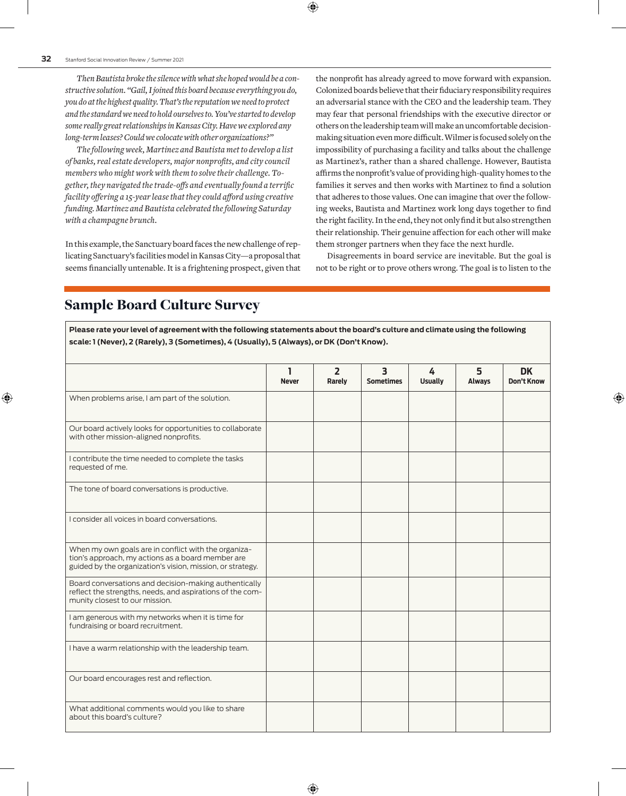*Then Bautista broke the silence with what she hoped would be a constructive solution. "Gail, I joined this board because everything you do, you do at the highest quality. That's the reputation we need to protect and the standard we need to hold ourselves to. You've started to develop some really great relationships in Kansas City. Have we explored any long-term leases? Could we colocate with other organizations?"*

*The following week, Martinez and Bautista met to develop a list of banks, real estate developers, major nonprofits, and city council members who might work with them to solve their challenge. Together, they navigated the trade-offs and eventually found a terrific facility offering a 15-year lease that they could afford using creative funding. Martinez and Bautista celebrated the following Saturday with a champagne brunch.*

In this example, the Sanctuary board faces the new challenge of replicating Sanctuary's facilities model in Kansas City—a proposal that seems financially untenable. It is a frightening prospect, given that the nonprofit has already agreed to move forward with expansion. Colonized boards believe that their fiduciary responsibility requires an adversarial stance with the CEO and the leadership team. They may fear that personal friendships with the executive director or others onthe leadership teamwillmake anuncomfortable decisionmaking situation even more difficult. Wilmer is focused solely on the impossibility of purchasing a facility and talks about the challenge as Martinez's, rather than a shared challenge. However, Bautista affirms the nonprofit's value of providing high-quality homes to the families it serves and then works with Martinez to find a solution that adheres to those values. One can imagine that over the following weeks, Bautista and Martinez work long days together to find the right facility. In the end, they not only find it but also strengthen their relationship. Their genuine affection for each other will make them stronger partners when they face the next hurdle.

Disagreements in board service are inevitable. But the goal is not to be right or to prove others wrong. The goal is to listen to the

### Sample Board Culture Survey

**Please rate your level of agreement with the following statements about the board's culture and climate using the following scale: 1 (Never), 2 (Rarely), 3 (Sometimes), 4 (Usually), 5 (Always), or DK (Don't Know).**

|                                                                                                                                                                         | <b>Never</b> | $\overline{2}$<br>Rarely | <b>Sometimes</b> | 4<br><b>Usually</b> | 5<br><b>Always</b> | <b>DK</b><br><b>Don't Know</b> |
|-------------------------------------------------------------------------------------------------------------------------------------------------------------------------|--------------|--------------------------|------------------|---------------------|--------------------|--------------------------------|
| When problems arise, I am part of the solution.                                                                                                                         |              |                          |                  |                     |                    |                                |
| Our board actively looks for opportunities to collaborate<br>with other mission-aligned nonprofits.                                                                     |              |                          |                  |                     |                    |                                |
| I contribute the time needed to complete the tasks<br>requested of me.                                                                                                  |              |                          |                  |                     |                    |                                |
| The tone of board conversations is productive.                                                                                                                          |              |                          |                  |                     |                    |                                |
| I consider all voices in board conversations.                                                                                                                           |              |                          |                  |                     |                    |                                |
| When my own goals are in conflict with the organiza-<br>tion's approach, my actions as a board member are<br>guided by the organization's vision, mission, or strategy. |              |                          |                  |                     |                    |                                |
| Board conversations and decision-making authentically<br>reflect the strengths, needs, and aspirations of the com-<br>munity closest to our mission.                    |              |                          |                  |                     |                    |                                |
| I am generous with my networks when it is time for<br>fundraising or board recruitment.                                                                                 |              |                          |                  |                     |                    |                                |
| I have a warm relationship with the leadership team.                                                                                                                    |              |                          |                  |                     |                    |                                |
| Our board encourages rest and reflection.                                                                                                                               |              |                          |                  |                     |                    |                                |
| What additional comments would you like to share<br>about this board's culture?                                                                                         |              |                          |                  |                     |                    |                                |